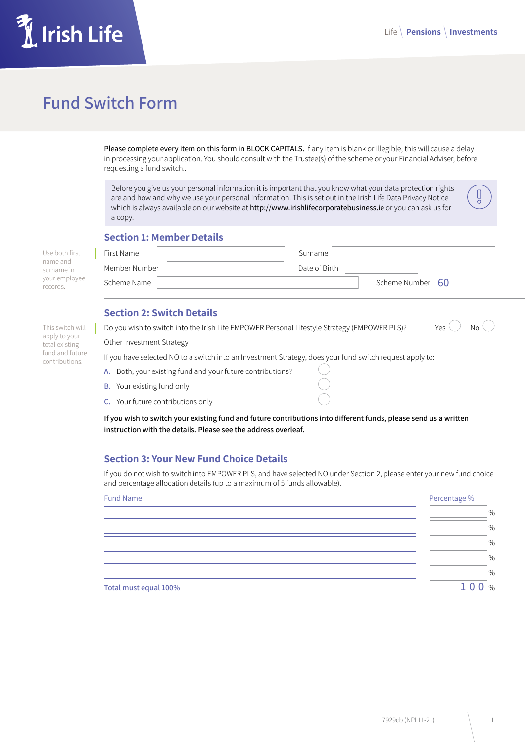Ů

# Irish Life

# **Fund Switch Form**

Please complete every item on this form in BLOCK CAPITALS. If any item is blank or illegible, this will cause a delay in processing your application. You should consult with the Trustee(s) of the scheme or your Financial Adviser, before requesting a fund switch..

Before you give us your personal information it is important that you know what your data protection rights are and how and why we use your personal information. This is set out in the Irish Life Data Privacy Notice which is always available on our website at http://www.irishlifecorporatebusiness.ie or you can ask us for a copy.

# **Section 1: Member Details**

| Use both first            | First Name    | Surname       |                      |  |
|---------------------------|---------------|---------------|----------------------|--|
| name and<br>surname in    | Member Number | Date of Birth |                      |  |
| your employee<br>records. | Scheme Name   |               | Scheme Number $ 60 $ |  |

# **Section 2: Switch Details**

| This switch will<br>apply to your<br>total existing<br>fund and future<br>contributions. |                                                                                                          | Do you wish to switch into the Irish Life EMPOWER Personal Lifestyle Strategy (EMPOWER PLS)? |  | Yes<br>Nο |  |
|------------------------------------------------------------------------------------------|----------------------------------------------------------------------------------------------------------|----------------------------------------------------------------------------------------------|--|-----------|--|
|                                                                                          | Other Investment Strategy                                                                                |                                                                                              |  |           |  |
|                                                                                          | If you have selected NO to a switch into an Investment Strategy, does your fund switch request apply to: |                                                                                              |  |           |  |
|                                                                                          |                                                                                                          | A. Both, your existing fund and your future contributions?                                   |  |           |  |
|                                                                                          | <b>B.</b> Your existing fund only                                                                        |                                                                                              |  |           |  |
|                                                                                          | <b>C.</b> Your future contributions only                                                                 |                                                                                              |  |           |  |

**If you wish to switch your existing fund and future contributions into different funds, please send us a written instruction with the details. Please see the address overleaf.**

# **Section 3: Your New Fund Choice Details**

If you do not wish to switch into EMPOWER PLS, and have selected NO under Section 2, please enter your new fund choice and percentage allocation details (up to a maximum of 5 funds allowable).

| <b>Fund Name</b>      | Percentage %  |
|-----------------------|---------------|
|                       | $\frac{0}{6}$ |
|                       | $\frac{0}{6}$ |
|                       | $\frac{0}{6}$ |
|                       | $\frac{0}{6}$ |
|                       | $\frac{0}{0}$ |
| Total must equal 100% | $\frac{0}{0}$ |

**Total must equal 100%** %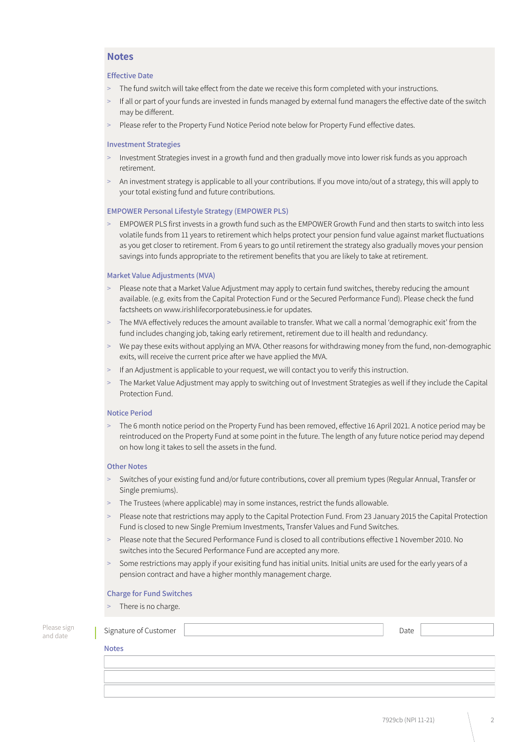### **Notes**

#### **Effective Date**

- The fund switch will take effect from the date we receive this form completed with your instructions.
- If all or part of your funds are invested in funds managed by external fund managers the effective date of the switch may be different.
- Please refer to the Property Fund Notice Period note below for Property Fund effective dates.

#### **Investment Strategies**

- > Investment Strategies invest in a growth fund and then gradually move into lower risk funds as you approach retirement.
- > An investment strategy is applicable to all your contributions. If you move into/out of a strategy, this will apply to your total existing fund and future contributions.

#### **EMPOWER Personal Lifestyle Strategy (EMPOWER PLS)**

> EMPOWER PLS first invests in a growth fund such as the EMPOWER Growth Fund and then starts to switch into less volatile funds from 11 years to retirement which helps protect your pension fund value against market fluctuations as you get closer to retirement. From 6 years to go until retirement the strategy also gradually moves your pension savings into funds appropriate to the retirement benefits that you are likely to take at retirement.

#### **Market Value Adjustments (MVA)**

- > Please note that a Market Value Adjustment may apply to certain fund switches, thereby reducing the amount available. (e.g. exits from the Capital Protection Fund or the Secured Performance Fund). Please check the fund factsheets on www.irishlifecorporatebusiness.ie for updates.
- The MVA effectively reduces the amount available to transfer. What we call a normal 'demographic exit' from the fund includes changing job, taking early retirement, retirement due to ill health and redundancy.
- We pay these exits without applying an MVA. Other reasons for withdrawing money from the fund, non-demographic exits, will receive the current price after we have applied the MVA.
- > If an Adjustment is applicable to your request, we will contact you to verify this instruction.
- The Market Value Adjustment may apply to switching out of Investment Strategies as well if they include the Capital Protection Fund.

#### **Notice Period**

> The 6 month notice period on the Property Fund has been removed, effective 16 April 2021. A notice period may be reintroduced on the Property Fund at some point in the future. The length of any future notice period may depend on how long it takes to sell the assets in the fund.

#### **Other Notes**

- > Switches of your existing fund and/or future contributions, cover all premium types (Regular Annual, Transfer or Single premiums).
- > The Trustees (where applicable) may in some instances, restrict the funds allowable.
- > Please note that restrictions may apply to the Capital Protection Fund. From 23 January 2015 the Capital Protection Fund is closed to new Single Premium Investments, Transfer Values and Fund Switches.
- > Please note that the Secured Performance Fund is closed to all contributions effective 1 November 2010. No switches into the Secured Performance Fund are accepted any more.
- Some restrictions may apply if your exisiting fund has initial units. Initial units are used for the early years of a pension contract and have a higher monthly management charge.

#### **Charge for Fund Switches**

There is no charge.

| Please sign<br>and date |  | Signature of Customer | Date |  |
|-------------------------|--|-----------------------|------|--|
|                         |  | <b>Notes</b>          |      |  |
|                         |  |                       |      |  |
|                         |  |                       |      |  |
|                         |  |                       |      |  |